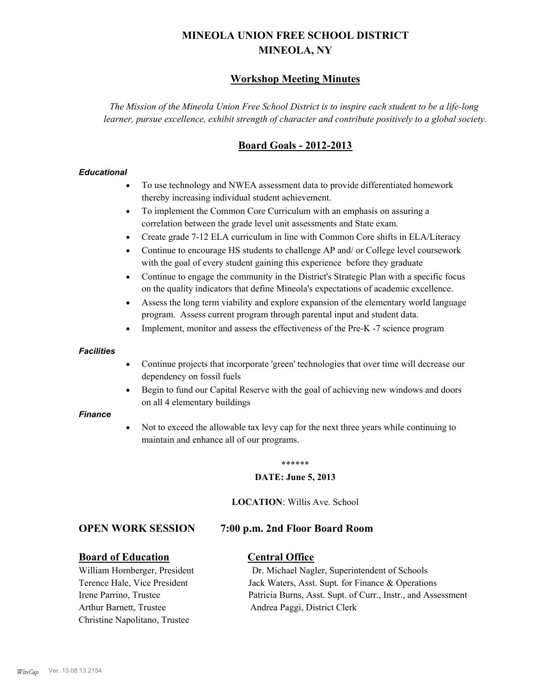# **MINEOLA UNION FREE SCHOOL DISTRICT MINEOLA, NY**

# **Workshop Meeting Minutes**

*The Mission of the Mineola Union Free School District is to inspire each student to be a life-long learner, pursue excellence, exhibit strength of character and contribute positively to a global society.*

# **Board Goals - 2012-2013**

#### *Educational*

- · To use technology and NWEA assessment data to provide differentiated homework thereby increasing individual student achievement.
- · To implement the Common Core Curriculum with an emphasis on assuring a correlation between the grade level unit assessments and State exam.
- Create grade 7-12 ELA curriculum in line with Common Core shifts in ELA/Literacy
- Continue to encourage HS students to challenge AP and/ or College level coursework with the goal of every student gaining this experience before they graduate
- · Continue to engage the community in the District's Strategic Plan with a specific focus on the quality indicators that define Mineola's expectations of academic excellence.
- Assess the long term viability and explore expansion of the elementary world language program. Assess current program through parental input and student data.
- Implement, monitor and assess the effectiveness of the Pre-K -7 science program

#### *Facilities*

- · Continue projects that incorporate 'green' technologies that over time will decrease our dependency on fossil fuels
- Begin to fund our Capital Reserve with the goal of achieving new windows and doors on all 4 elementary buildings

#### *Finance*

Not to exceed the allowable tax levy cap for the next three years while continuing to maintain and enhance all of our programs.

#### \*\*\*\*\*\*

#### **DATE: June 5, 2013**

**LOCATION**: Willis Ave. School

# **OPEN WORK SESSION 7:00 p.m. 2nd Floor Board Room**

# **Board of Education Central Office**

Arthur Barnett, Trustee Andrea Paggi, District Clerk Christine Napolitano, Trustee

William Hornberger, President Dr. Michael Nagler, Superintendent of Schools Terence Hale, Vice President Jack Waters, Asst. Supt. for Finance & Operations Irene Parrino, Trustee Patricia Burns, Asst. Supt. of Curr., Instr., and Assessment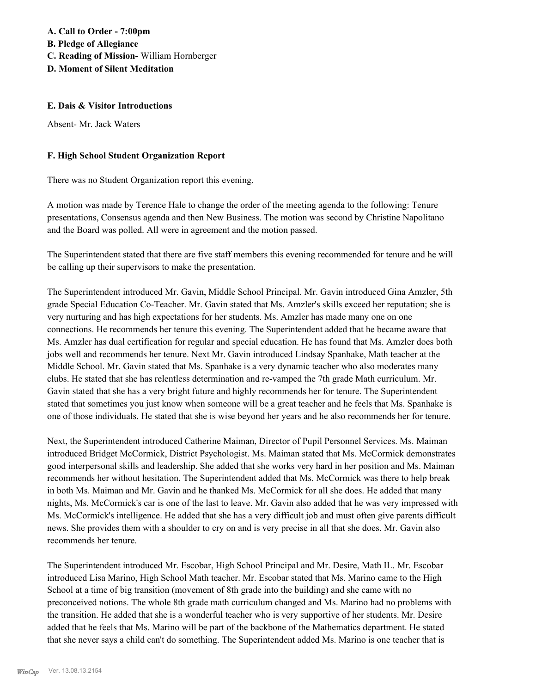#### **E. Dais & Visitor Introductions**

Absent- Mr. Jack Waters

#### **F. High School Student Organization Report**

There was no Student Organization report this evening.

A motion was made by Terence Hale to change the order of the meeting agenda to the following: Tenure presentations, Consensus agenda and then New Business. The motion was second by Christine Napolitano and the Board was polled. All were in agreement and the motion passed.

The Superintendent stated that there are five staff members this evening recommended for tenure and he will be calling up their supervisors to make the presentation.

The Superintendent introduced Mr. Gavin, Middle School Principal. Mr. Gavin introduced Gina Amzler, 5th grade Special Education Co-Teacher. Mr. Gavin stated that Ms. Amzler's skills exceed her reputation; she is very nurturing and has high expectations for her students. Ms. Amzler has made many one on one connections. He recommends her tenure this evening. The Superintendent added that he became aware that Ms. Amzler has dual certification for regular and special education. He has found that Ms. Amzler does both jobs well and recommends her tenure. Next Mr. Gavin introduced Lindsay Spanhake, Math teacher at the Middle School. Mr. Gavin stated that Ms. Spanhake is a very dynamic teacher who also moderates many clubs. He stated that she has relentless determination and re-vamped the 7th grade Math curriculum. Mr. Gavin stated that she has a very bright future and highly recommends her for tenure. The Superintendent stated that sometimes you just know when someone will be a great teacher and he feels that Ms. Spanhake is one of those individuals. He stated that she is wise beyond her years and he also recommends her for tenure.

Next, the Superintendent introduced Catherine Maiman, Director of Pupil Personnel Services. Ms. Maiman introduced Bridget McCormick, District Psychologist. Ms. Maiman stated that Ms. McCormick demonstrates good interpersonal skills and leadership. She added that she works very hard in her position and Ms. Maiman recommends her without hesitation. The Superintendent added that Ms. McCormick was there to help break in both Ms. Maiman and Mr. Gavin and he thanked Ms. McCormick for all she does. He added that many nights, Ms. McCormick's car is one of the last to leave. Mr. Gavin also added that he was very impressed with Ms. McCormick's intelligence. He added that she has a very difficult job and must often give parents difficult news. She provides them with a shoulder to cry on and is very precise in all that she does. Mr. Gavin also recommends her tenure.

The Superintendent introduced Mr. Escobar, High School Principal and Mr. Desire, Math IL. Mr. Escobar introduced Lisa Marino, High School Math teacher. Mr. Escobar stated that Ms. Marino came to the High School at a time of big transition (movement of 8th grade into the building) and she came with no preconceived notions. The whole 8th grade math curriculum changed and Ms. Marino had no problems with the transition. He added that she is a wonderful teacher who is very supportive of her students. Mr. Desire added that he feels that Ms. Marino will be part of the backbone of the Mathematics department. He stated that she never says a child can't do something. The Superintendent added Ms. Marino is one teacher that is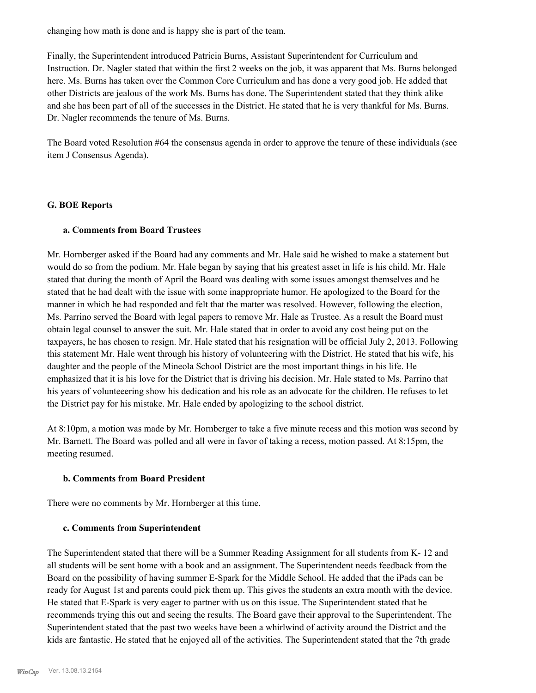changing how math is done and is happy she is part of the team.

Finally, the Superintendent introduced Patricia Burns, Assistant Superintendent for Curriculum and Instruction. Dr. Nagler stated that within the first 2 weeks on the job, it was apparent that Ms. Burns belonged here. Ms. Burns has taken over the Common Core Curriculum and has done a very good job. He added that other Districts are jealous of the work Ms. Burns has done. The Superintendent stated that they think alike and she has been part of all of the successes in the District. He stated that he is very thankful for Ms. Burns. Dr. Nagler recommends the tenure of Ms. Burns.

The Board voted Resolution #64 the consensus agenda in order to approve the tenure of these individuals (see item J Consensus Agenda).

# **G. BOE Reports**

### **a. Comments from Board Trustees**

Mr. Hornberger asked if the Board had any comments and Mr. Hale said he wished to make a statement but would do so from the podium. Mr. Hale began by saying that his greatest asset in life is his child. Mr. Hale stated that during the month of April the Board was dealing with some issues amongst themselves and he stated that he had dealt with the issue with some inappropriate humor. He apologized to the Board for the manner in which he had responded and felt that the matter was resolved. However, following the election, Ms. Parrino served the Board with legal papers to remove Mr. Hale as Trustee. As a result the Board must obtain legal counsel to answer the suit. Mr. Hale stated that in order to avoid any cost being put on the taxpayers, he has chosen to resign. Mr. Hale stated that his resignation will be official July 2, 2013. Following this statement Mr. Hale went through his history of volunteering with the District. He stated that his wife, his daughter and the people of the Mineola School District are the most important things in his life. He emphasized that it is his love for the District that is driving his decision. Mr. Hale stated to Ms. Parrino that his years of volunteeering show his dedication and his role as an advocate for the children. He refuses to let the District pay for his mistake. Mr. Hale ended by apologizing to the school district.

At 8:10pm, a motion was made by Mr. Hornberger to take a five minute recess and this motion was second by Mr. Barnett. The Board was polled and all were in favor of taking a recess, motion passed. At 8:15pm, the meeting resumed.

# **b. Comments from Board President**

There were no comments by Mr. Hornberger at this time.

# **c. Comments from Superintendent**

The Superintendent stated that there will be a Summer Reading Assignment for all students from K- 12 and all students will be sent home with a book and an assignment. The Superintendent needs feedback from the Board on the possibility of having summer E-Spark for the Middle School. He added that the iPads can be ready for August 1st and parents could pick them up. This gives the students an extra month with the device. He stated that E-Spark is very eager to partner with us on this issue. The Superintendent stated that he recommends trying this out and seeing the results. The Board gave their approval to the Superintendent. The Superintendent stated that the past two weeks have been a whirlwind of activity around the District and the kids are fantastic. He stated that he enjoyed all of the activities. The Superintendent stated that the 7th grade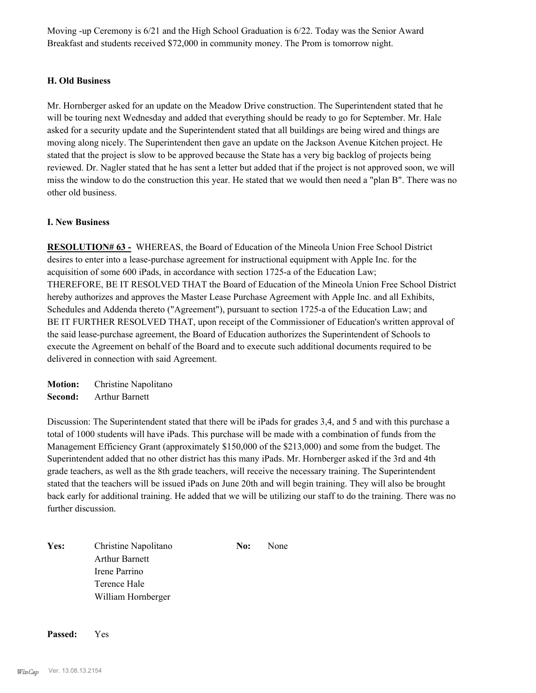Moving -up Ceremony is 6/21 and the High School Graduation is 6/22. Today was the Senior Award Breakfast and students received \$72,000 in community money. The Prom is tomorrow night.

### **H. Old Business**

Mr. Hornberger asked for an update on the Meadow Drive construction. The Superintendent stated that he will be touring next Wednesday and added that everything should be ready to go for September. Mr. Hale asked for a security update and the Superintendent stated that all buildings are being wired and things are moving along nicely. The Superintendent then gave an update on the Jackson Avenue Kitchen project. He stated that the project is slow to be approved because the State has a very big backlog of projects being reviewed. Dr. Nagler stated that he has sent a letter but added that if the project is not approved soon, we will miss the window to do the construction this year. He stated that we would then need a "plan B". There was no other old business.

### **I. New Business**

**RESOLUTION# 63 -** WHEREAS, the Board of Education of the Mineola Union Free School District desires to enter into a lease-purchase agreement for instructional equipment with Apple Inc. for the acquisition of some 600 iPads, in accordance with section 1725-a of the Education Law; THEREFORE, BE IT RESOLVED THAT the Board of Education of the Mineola Union Free School District hereby authorizes and approves the Master Lease Purchase Agreement with Apple Inc. and all Exhibits, Schedules and Addenda thereto ("Agreement"), pursuant to section 1725-a of the Education Law; and BE IT FURTHER RESOLVED THAT, upon receipt of the Commissioner of Education's written approval of the said lease-purchase agreement, the Board of Education authorizes the Superintendent of Schools to execute the Agreement on behalf of the Board and to execute such additional documents required to be delivered in connection with said Agreement.

**Motion:** Christine Napolitano **Second:** Arthur Barnett

Discussion: The Superintendent stated that there will be iPads for grades 3,4, and 5 and with this purchase a total of 1000 students will have iPads. This purchase will be made with a combination of funds from the Management Efficiency Grant (approximately \$150,000 of the \$213,000) and some from the budget. The Superintendent added that no other district has this many iPads. Mr. Hornberger asked if the 3rd and 4th grade teachers, as well as the 8th grade teachers, will receive the necessary training. The Superintendent stated that the teachers will be issued iPads on June 20th and will begin training. They will also be brought back early for additional training. He added that we will be utilizing our staff to do the training. There was no further discussion.

Yes: Christine Napolitano **No:** None Arthur Barnett Irene Parrino Terence Hale William Hornberger

**Passed:** Yes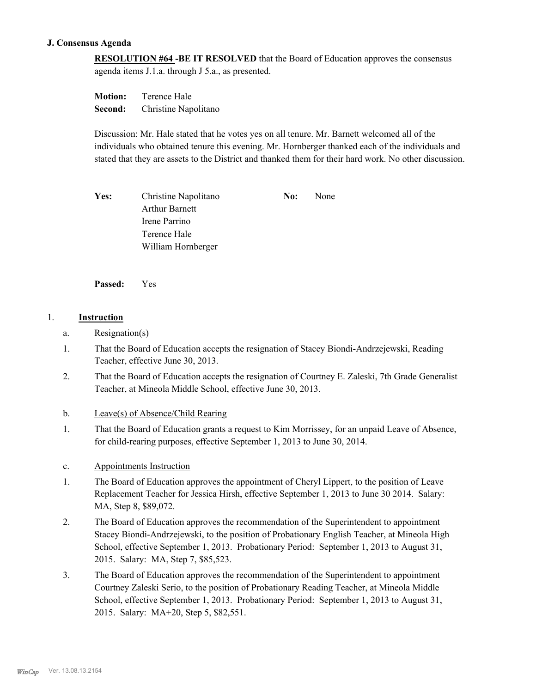# **J. Consensus Agenda**

**RESOLUTION #64 -BE IT RESOLVED** that the Board of Education approves the consensus agenda items J.1.a. through J 5.a., as presented.

**Motion:** Terence Hale **Second:** Christine Napolitano

Discussion: Mr. Hale stated that he votes yes on all tenure. Mr. Barnett welcomed all of the individuals who obtained tenure this evening. Mr. Hornberger thanked each of the individuals and stated that they are assets to the District and thanked them for their hard work. No other discussion.

Yes: Christine Napolitano **No:** None Arthur Barnett Irene Parrino Terence Hale William Hornberger

**Passed:** Yes

# 1. **Instruction**

- a. Resignation(s)
- That the Board of Education accepts the resignation of Stacey Biondi-Andrzejewski, Reading Teacher, effective June 30, 2013. 1.
- That the Board of Education accepts the resignation of Courtney E. Zaleski, 7th Grade Generalist Teacher, at Mineola Middle School, effective June 30, 2013. 2.
- b. Leave(s) of Absence/Child Rearing
- That the Board of Education grants a request to Kim Morrissey, for an unpaid Leave of Absence, for child-rearing purposes, effective September 1, 2013 to June 30, 2014. 1.
- c. Appointments Instruction
- The Board of Education approves the appointment of Cheryl Lippert, to the position of Leave Replacement Teacher for Jessica Hirsh, effective September 1, 2013 to June 30 2014. Salary: MA, Step 8, \$89,072. 1.
- The Board of Education approves the recommendation of the Superintendent to appointment Stacey Biondi-Andrzejewski, to the position of Probationary English Teacher, at Mineola High School, effective September 1, 2013. Probationary Period: September 1, 2013 to August 31, 2015. Salary: MA, Step 7, \$85,523. 2.
- The Board of Education approves the recommendation of the Superintendent to appointment Courtney Zaleski Serio, to the position of Probationary Reading Teacher, at Mineola Middle School, effective September 1, 2013. Probationary Period: September 1, 2013 to August 31, 2015. Salary: MA+20, Step 5, \$82,551. 3.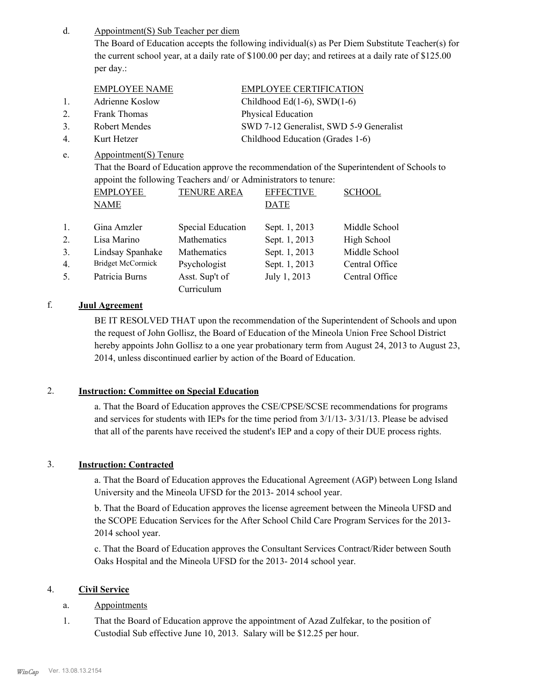Appointment(S) Sub Teacher per diem d.

> The Board of Education accepts the following individual(s) as Per Diem Substitute Teacher(s) for the current school year, at a daily rate of \$100.00 per day; and retirees at a daily rate of \$125.00 per day.:

| <b>EMPLOYEE NAME</b> | <b>EMPLOYEE CERTIFICATION</b> |
|----------------------|-------------------------------|
|                      |                               |

- 1. Adrienne Koslow Childhood Ed(1-6), SWD(1-6)
- 2. Frank Thomas Physical Education
- 3. Robert Mendes SWD 7-12 Generalist, SWD 5-9 Generalist
- 

4. Kurt Hetzer Childhood Education (Grades 1-6)

Appointment(S) Tenure e.

> That the Board of Education approve the recommendation of the Superintendent of Schools to appoint the following Teachers and/ or Administrators to tenure:

|    | <b>EMPLOYEE</b>          | <b>TENURE AREA</b>           | <b>EFFECTIVE</b> | <b>SCHOOL</b>  |
|----|--------------------------|------------------------------|------------------|----------------|
|    | <b>NAME</b>              |                              | <b>DATE</b>      |                |
| 1. | Gina Amzler              | Special Education            | Sept. 1, 2013    | Middle School  |
| 2. | Lisa Marino              | Mathematics                  | Sept. 1, 2013    | High School    |
| 3. | Lindsay Spanhake         | Mathematics                  | Sept. 1, 2013    | Middle School  |
| 4. | <b>Bridget McCormick</b> | Psychologist                 | Sept. 1, 2013    | Central Office |
| 5. | Patricia Burns           | Asst. Sup't of<br>Curriculum | July 1, 2013     | Central Office |

# f. **Juul Agreement**

BE IT RESOLVED THAT upon the recommendation of the Superintendent of Schools and upon the request of John Gollisz, the Board of Education of the Mineola Union Free School District hereby appoints John Gollisz to a one year probationary term from August 24, 2013 to August 23, 2014, unless discontinued earlier by action of the Board of Education.

# 2. **Instruction: Committee on Special Education**

a. That the Board of Education approves the CSE/CPSE/SCSE recommendations for programs and services for students with IEPs for the time period from 3/1/13- 3/31/13. Please be advised that all of the parents have received the student's IEP and a copy of their DUE process rights.

# 3. **Instruction: Contracted**

a. That the Board of Education approves the Educational Agreement (AGP) between Long Island University and the Mineola UFSD for the 2013- 2014 school year.

b. That the Board of Education approves the license agreement between the Mineola UFSD and the SCOPE Education Services for the After School Child Care Program Services for the 2013- 2014 school year.

c. That the Board of Education approves the Consultant Services Contract/Rider between South Oaks Hospital and the Mineola UFSD for the 2013- 2014 school year.

# 4. **Civil Service**

# a. Appointments

That the Board of Education approve the appointment of Azad Zulfekar, to the position of Custodial Sub effective June 10, 2013. Salary will be \$12.25 per hour. 1.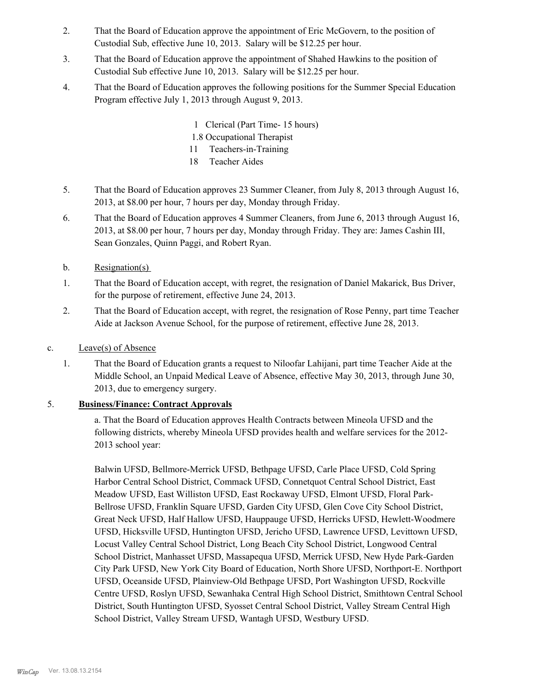- That the Board of Education approve the appointment of Eric McGovern, to the position of Custodial Sub, effective June 10, 2013. Salary will be \$12.25 per hour. 2.
- That the Board of Education approve the appointment of Shahed Hawkins to the position of Custodial Sub effective June 10, 2013. Salary will be \$12.25 per hour. 3.
- That the Board of Education approves the following positions for the Summer Special Education Program effective July 1, 2013 through August 9, 2013. 4.
	- 1 Clerical (Part Time- 15 hours)
	- 1.8 Occupational Therapist
	- 11 Teachers-in-Training
	- 18 Teacher Aides
- That the Board of Education approves 23 Summer Cleaner, from July 8, 2013 through August 16, 2013, at \$8.00 per hour, 7 hours per day, Monday through Friday. 5.
- That the Board of Education approves 4 Summer Cleaners, from June 6, 2013 through August 16, 2013, at \$8.00 per hour, 7 hours per day, Monday through Friday. They are: James Cashin III, Sean Gonzales, Quinn Paggi, and Robert Ryan. 6.
- b. Resignation(s)
- That the Board of Education accept, with regret, the resignation of Daniel Makarick, Bus Driver, for the purpose of retirement, effective June 24, 2013. 1.
- That the Board of Education accept, with regret, the resignation of Rose Penny, part time Teacher Aide at Jackson Avenue School, for the purpose of retirement, effective June 28, 2013. 2.
- c. Leave(s) of Absence
	- That the Board of Education grants a request to Niloofar Lahijani, part time Teacher Aide at the Middle School, an Unpaid Medical Leave of Absence, effective May 30, 2013, through June 30, 2013, due to emergency surgery. 1.

# 5. **Business/Finance: Contract Approvals**

a. That the Board of Education approves Health Contracts between Mineola UFSD and the following districts, whereby Mineola UFSD provides health and welfare services for the 2012- 2013 school year:

Balwin UFSD, Bellmore-Merrick UFSD, Bethpage UFSD, Carle Place UFSD, Cold Spring Harbor Central School District, Commack UFSD, Connetquot Central School District, East Meadow UFSD, East Williston UFSD, East Rockaway UFSD, Elmont UFSD, Floral Park-Bellrose UFSD, Franklin Square UFSD, Garden City UFSD, Glen Cove City School District, Great Neck UFSD, Half Hallow UFSD, Hauppauge UFSD, Herricks UFSD, Hewlett-Woodmere UFSD, Hicksville UFSD, Huntington UFSD, Jericho UFSD, Lawrence UFSD, Levittown UFSD, Locust Valley Central School District, Long Beach City School District, Longwood Central School District, Manhasset UFSD, Massapequa UFSD, Merrick UFSD, New Hyde Park-Garden City Park UFSD, New York City Board of Education, North Shore UFSD, Northport-E. Northport UFSD, Oceanside UFSD, Plainview-Old Bethpage UFSD, Port Washington UFSD, Rockville Centre UFSD, Roslyn UFSD, Sewanhaka Central High School District, Smithtown Central School District, South Huntington UFSD, Syosset Central School District, Valley Stream Central High School District, Valley Stream UFSD, Wantagh UFSD, Westbury UFSD.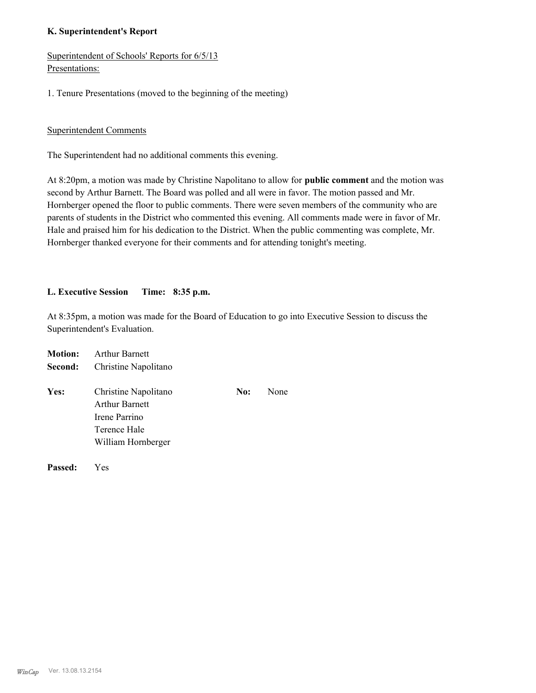## **K. Superintendent's Report**

Superintendent of Schools' Reports for 6/5/13 Presentations:

1. Tenure Presentations (moved to the beginning of the meeting)

### Superintendent Comments

The Superintendent had no additional comments this evening.

At 8:20pm, a motion was made by Christine Napolitano to allow for **public comment** and the motion was second by Arthur Barnett. The Board was polled and all were in favor. The motion passed and Mr. Hornberger opened the floor to public comments. There were seven members of the community who are parents of students in the District who commented this evening. All comments made were in favor of Mr. Hale and praised him for his dedication to the District. When the public commenting was complete, Mr. Hornberger thanked everyone for their comments and for attending tonight's meeting.

### **L. Executive Session Time: 8:35 p.m.**

At 8:35pm, a motion was made for the Board of Education to go into Executive Session to discuss the Superintendent's Evaluation.

| <b>Motion:</b> | <b>Arthur Barnett</b>                                                                                |     |      |
|----------------|------------------------------------------------------------------------------------------------------|-----|------|
| Second:        | Christine Napolitano                                                                                 |     |      |
| Yes:           | Christine Napolitano<br><b>Arthur Barnett</b><br>Irene Parrino<br>Terence Hale<br>William Hornberger | No: | None |
|                |                                                                                                      |     |      |

**Passed:** Yes